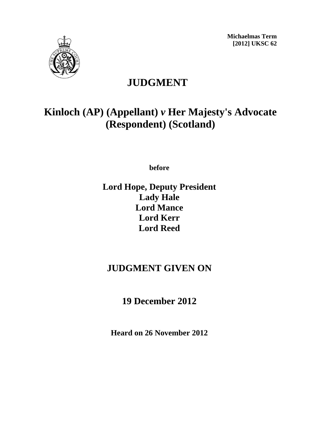**Michaelmas Term [2012] UKSC 62** 



## **JUDGMENT**

# **Kinloch (AP) (Appellant)** *v* **Her Majesty's Advocate (Respondent) (Scotland)**

**before** 

### **Lord Hope, Deputy President Lady Hale Lord Mance Lord Kerr Lord Reed**

### **JUDGMENT GIVEN ON**

**19 December 2012**

**Heard on 26 November 2012**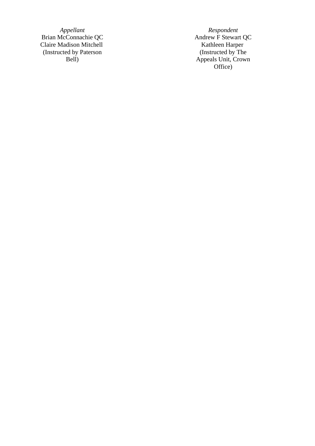*Appellant Respondent*  Brian McConnachie QC Andrew F Stewart QC Claire Madison Mitchell **Kathleen Harper** Kathleen Harper (Instructed by Paterson Bell)

(Instructed by The Appeals Unit, Crown Office)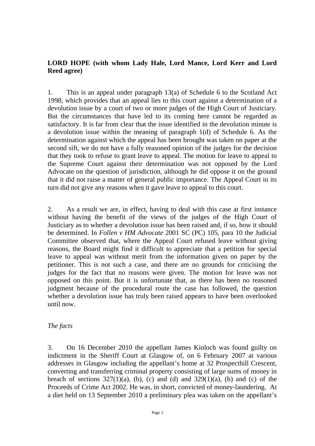#### **LORD HOPE (with whom Lady Hale, Lord Mance, Lord Kerr and Lord Reed agree)**

1. This is an appeal under paragraph 13(a) of Schedule 6 to the Scotland Act 1998, which provides that an appeal lies to this court against a determination of a devolution issue by a court of two or more judges of the High Court of Justiciary. But the circumstances that have led to its coming here cannot be regarded as satisfactory. It is far from clear that the issue identified in the devolution minute is a devolution issue within the meaning of paragraph 1(d) of Schedule 6. As the determination against which the appeal has been brought was taken on paper at the second sift, we do not have a fully reasoned opinion of the judges for the decision that they took to refuse to grant leave to appeal. The motion for leave to appeal to the Supreme Court against their determination was not opposed by the Lord Advocate on the question of jurisdiction, although he did oppose it on the ground that it did not raise a matter of general public importance. The Appeal Court in its turn did not give any reasons when it gave leave to appeal to this court.

2. As a result we are, in effect, having to deal with this case at first instance without having the benefit of the views of the judges of the High Court of Justiciary as to whether a devolution issue has been raised and, if so, how it should be determined. In *Follen v HM Advocate* 2001 SC (PC) 105, para 10 the Judicial Committee observed that, where the Appeal Court refused leave without giving reasons, the Board might find it difficult to appreciate that a petition for special leave to appeal was without merit from the information given on paper by the petitioner. This is not such a case, and there are no grounds for criticising the judges for the fact that no reasons were given. The motion for leave was not opposed on this point. But it is unfortunate that, as there has been no reasoned judgment because of the procedural route the case has followed, the question whether a devolution issue has truly been raised appears to have been overlooked until now.

#### *The facts*

3. On 16 December 2010 the appellant James Kinloch was found guilty on indictment in the Sheriff Court at Glasgow of, on 6 February 2007 at various addresses in Glasgow including the appellant's home at 32 Prospecthill Crescent, converting and transferring criminal property consisting of large sums of money in breach of sections  $327(1)(a)$ , (b), (c) and (d) and  $329(1)(a)$ , (b) and (c) of the Proceeds of Crime Act 2002. He was, in short, convicted of money-laundering. At a diet held on 13 September 2010 a preliminary plea was taken on the appellant's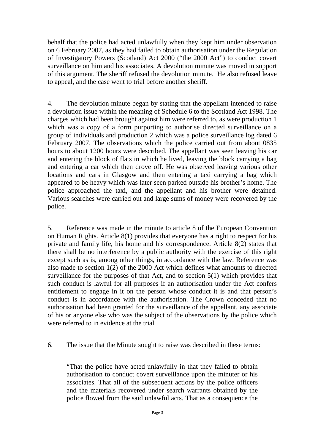behalf that the police had acted unlawfully when they kept him under observation on 6 February 2007, as they had failed to obtain authorisation under the Regulation of Investigatory Powers (Scotland) Act 2000 ("the 2000 Act") to conduct covert surveillance on him and his associates. A devolution minute was moved in support of this argument. The sheriff refused the devolution minute. He also refused leave to appeal, and the case went to trial before another sheriff.

4. The devolution minute began by stating that the appellant intended to raise a devolution issue within the meaning of Schedule 6 to the Scotland Act 1998. The charges which had been brought against him were referred to, as were production 1 which was a copy of a form purporting to authorise directed surveillance on a group of individuals and production 2 which was a police surveillance log dated 6 February 2007. The observations which the police carried out from about 0835 hours to about 1200 hours were described. The appellant was seen leaving his car and entering the block of flats in which he lived, leaving the block carrying a bag and entering a car which then drove off. He was observed leaving various other locations and cars in Glasgow and then entering a taxi carrying a bag which appeared to be heavy which was later seen parked outside his brother's home. The police approached the taxi, and the appellant and his brother were detained. Various searches were carried out and large sums of money were recovered by the police.

5. Reference was made in the minute to article 8 of the European Convention on Human Rights. Article 8(1) provides that everyone has a right to respect for his private and family life, his home and his correspondence. Article 8(2) states that there shall be no interference by a public authority with the exercise of this right except such as is, among other things, in accordance with the law. Reference was also made to section 1(2) of the 2000 Act which defines what amounts to directed surveillance for the purposes of that Act, and to section 5(1) which provides that such conduct is lawful for all purposes if an authorisation under the Act confers entitlement to engage in it on the person whose conduct it is and that person's conduct is in accordance with the authorisation. The Crown conceded that no authorisation had been granted for the surveillance of the appellant, any associate of his or anyone else who was the subject of the observations by the police which were referred to in evidence at the trial.

6. The issue that the Minute sought to raise was described in these terms:

"That the police have acted unlawfully in that they failed to obtain authorisation to conduct covert surveillance upon the minuter or his associates. That all of the subsequent actions by the police officers and the materials recovered under search warrants obtained by the police flowed from the said unlawful acts. That as a consequence the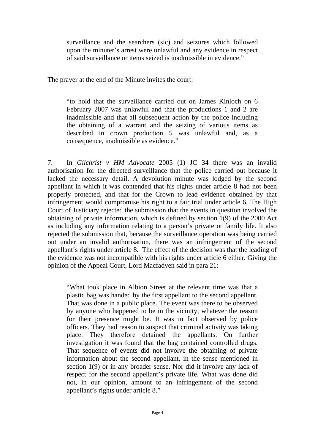surveillance and the searchers (sic) and seizures which followed upon the minuter's arrest were unlawful and any evidence in respect of said surveillance or items seized is inadmissible in evidence."

The prayer at the end of the Minute invites the court:

"to hold that the surveillance carried out on James Kinloch on 6 February 2007 was unlawful and that the productions 1 and 2 are inadmissible and that all subsequent action by the police including the obtaining of a warrant and the seizing of various items as described in crown production 5 was unlawful and, as a consequence, inadmissible as evidence."

7. In *Gilchrist v HM Advocate* 2005 (1) JC 34 there was an invalid authorisation for the directed surveillance that the police carried out because it lacked the necessary detail. A devolution minute was lodged by the second appellant in which it was contended that his rights under article 8 had not been properly protected, and that for the Crown to lead evidence obtained by that infringement would compromise his right to a fair trial under article 6. The High Court of Justiciary rejected the submission that the events in question involved the obtaining of private information, which is defined by section 1(9) of the 2000 Act as including any information relating to a person's private or family life. It also rejected the submission that, because the surveillance operation was being carried out under an invalid authorisation, there was an infringement of the second appellant's rights under article 8. The effect of the decision was that the leading of the evidence was not incompatible with his rights under article 6 either. Giving the opinion of the Appeal Court, Lord Macfadyen said in para 21:

"What took place in Albion Street at the relevant time was that a plastic bag was handed by the first appellant to the second appellant. That was done in a public place. The event was there to be observed by anyone who happened to be in the vicinity, whatever the reason for their presence might be. It was in fact observed by police officers. They had reason to suspect that criminal activity was taking place. They therefore detained the appellants. On further investigation it was found that the bag contained controlled drugs. That sequence of events did not involve the obtaining of private information about the second appellant, in the sense mentioned in section 1(9) or in any broader sense. Nor did it involve any lack of respect for the second appellant's private life. What was done did not, in our opinion, amount to an infringement of the second appellant's rights under article 8."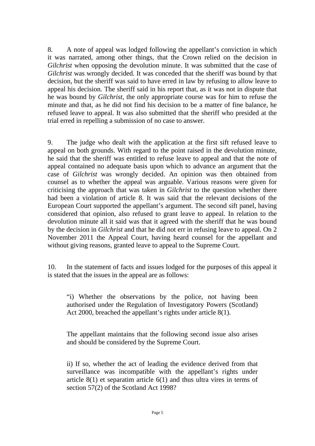8. A note of appeal was lodged following the appellant's conviction in which it was narrated, among other things, that the Crown relied on the decision in *Gilchrist* when opposing the devolution minute. It was submitted that the case of *Gilchrist* was wrongly decided. It was conceded that the sheriff was bound by that decision, but the sheriff was said to have erred in law by refusing to allow leave to appeal his decision. The sheriff said in his report that, as it was not in dispute that he was bound by *Gilchrist*, the only appropriate course was for him to refuse the minute and that, as he did not find his decision to be a matter of fine balance, he refused leave to appeal. It was also submitted that the sheriff who presided at the trial erred in repelling a submission of no case to answer.

9. The judge who dealt with the application at the first sift refused leave to appeal on both grounds. With regard to the point raised in the devolution minute, he said that the sheriff was entitled to refuse leave to appeal and that the note of appeal contained no adequate basis upon which to advance an argument that the case of *Gilchrist* was wrongly decided. An opinion was then obtained from counsel as to whether the appeal was arguable. Various reasons were given for criticising the approach that was taken in *Gilchrist* to the question whether there had been a violation of article 8. It was said that the relevant decisions of the European Court supported the appellant's argument. The second sift panel, having considered that opinion, also refused to grant leave to appeal. In relation to the devolution minute all it said was that it agreed with the sheriff that he was bound by the decision in *Gilchrist* and that he did not err in refusing leave to appeal. On 2 November 2011 the Appeal Court, having heard counsel for the appellant and without giving reasons, granted leave to appeal to the Supreme Court.

10. In the statement of facts and issues lodged for the purposes of this appeal it is stated that the issues in the appeal are as follows:

"i) Whether the observations by the police, not having been authorised under the Regulation of Investigatory Powers (Scotland) Act 2000, breached the appellant's rights under article 8(1).

The appellant maintains that the following second issue also arises and should be considered by the Supreme Court.

ii) If so, whether the act of leading the evidence derived from that surveillance was incompatible with the appellant's rights under article 8(1) et separatim article 6(1) and thus ultra vires in terms of section 57(2) of the Scotland Act 1998?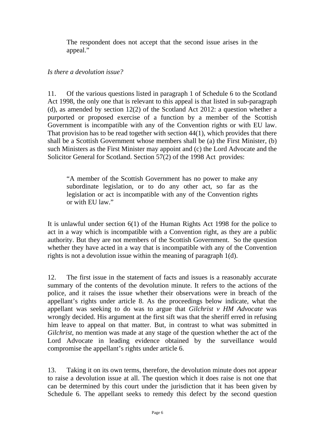The respondent does not accept that the second issue arises in the appeal."

#### *Is there a devolution issue?*

11. Of the various questions listed in paragraph 1 of Schedule 6 to the Scotland Act 1998, the only one that is relevant to this appeal is that listed in sub-paragraph (d), as amended by section 12(2) of the Scotland Act 2012: a question whether a purported or proposed exercise of a function by a member of the Scottish Government is incompatible with any of the Convention rights or with EU law. That provision has to be read together with section 44(1), which provides that there shall be a Scottish Government whose members shall be (a) the First Minister, (b) such Ministers as the First Minister may appoint and (c) the Lord Advocate and the Solicitor General for Scotland. Section 57(2) of the 1998 Act provides:

"A member of the Scottish Government has no power to make any subordinate legislation, or to do any other act, so far as the legislation or act is incompatible with any of the Convention rights or with EU law."

It is unlawful under section 6(1) of the Human Rights Act 1998 for the police to act in a way which is incompatible with a Convention right, as they are a public authority. But they are not members of the Scottish Government. So the question whether they have acted in a way that is incompatible with any of the Convention rights is not a devolution issue within the meaning of paragraph 1(d).

12. The first issue in the statement of facts and issues is a reasonably accurate summary of the contents of the devolution minute. It refers to the actions of the police, and it raises the issue whether their observations were in breach of the appellant's rights under article 8. As the proceedings below indicate, what the appellant was seeking to do was to argue that *Gilchrist v HM Advocate* was wrongly decided. His argument at the first sift was that the sheriff erred in refusing him leave to appeal on that matter. But, in contrast to what was submitted in *Gilchrist*, no mention was made at any stage of the question whether the act of the Lord Advocate in leading evidence obtained by the surveillance would compromise the appellant's rights under article 6.

13. Taking it on its own terms, therefore, the devolution minute does not appear to raise a devolution issue at all. The question which it does raise is not one that can be determined by this court under the jurisdiction that it has been given by Schedule 6. The appellant seeks to remedy this defect by the second question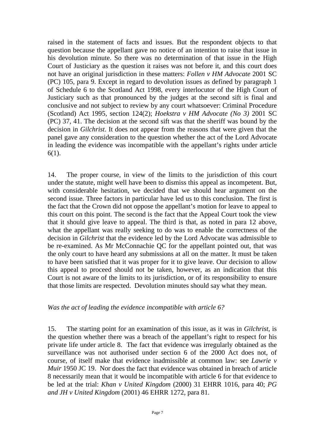raised in the statement of facts and issues. But the respondent objects to that question because the appellant gave no notice of an intention to raise that issue in his devolution minute. So there was no determination of that issue in the High Court of Justiciary as the question it raises was not before it, and this court does not have an original jurisdiction in these matters: *Follen v HM Advocate* 2001 SC (PC) 105, para 9. Except in regard to devolution issues as defined by paragraph 1 of Schedule 6 to the Scotland Act 1998, every interlocutor of the High Court of Justiciary such as that pronounced by the judges at the second sift is final and conclusive and not subject to review by any court whatsoever: Criminal Procedure (Scotland) Act 1995, section 124(2); *Hoekstra v HM Advocate (No 3)* 2001 SC (PC) 37, 41. The decision at the second sift was that the sheriff was bound by the decision in *Gilchrist*. It does not appear from the reasons that were given that the panel gave any consideration to the question whether the act of the Lord Advocate in leading the evidence was incompatible with the appellant's rights under article 6(1).

14. The proper course, in view of the limits to the jurisdiction of this court under the statute, might well have been to dismiss this appeal as incompetent. But, with considerable hesitation, we decided that we should hear argument on the second issue. Three factors in particular have led us to this conclusion. The first is the fact that the Crown did not oppose the appellant's motion for leave to appeal to this court on this point. The second is the fact that the Appeal Court took the view that it should give leave to appeal. The third is that, as noted in para 12 above, what the appellant was really seeking to do was to enable the correctness of the decision in *Gilchrist* that the evidence led by the Lord Advocate was admissible to be re-examined. As Mr McConnachie QC for the appellant pointed out, that was the only court to have heard any submissions at all on the matter. It must be taken to have been satisfied that it was proper for it to give leave. Our decision to allow this appeal to proceed should not be taken, however, as an indication that this Court is not aware of the limits to its jurisdiction, or of its responsibility to ensure that those limits are respected. Devolution minutes should say what they mean.

#### *Was the act of leading the evidence incompatible with article 6?*

15. The starting point for an examination of this issue, as it was in *Gilchrist*, is the question whether there was a breach of the appellant's right to respect for his private life under article 8. The fact that evidence was irregularly obtained as the surveillance was not authorised under section 6 of the 2000 Act does not, of course, of itself make that evidence inadmissible at common law: see *Lawrie v Muir* 1950 JC 19. Nor does the fact that evidence was obtained in breach of article 8 necessarily mean that it would be incompatible with article 6 for that evidence to be led at the trial: *Khan v United Kingdom* (2000) 31 EHRR 1016, para 40; *PG and JH v United Kingdom* (2001) 46 EHRR 1272, para 81.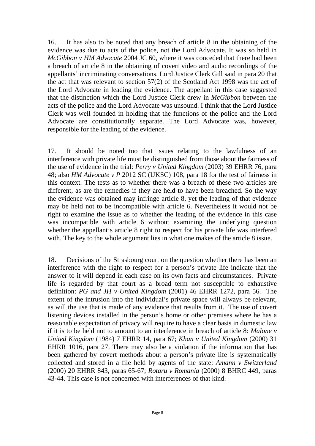16. It has also to be noted that any breach of article 8 in the obtaining of the evidence was due to acts of the police, not the Lord Advocate. It was so held in *McGibbon v HM Advocate* 2004 JC 60, where it was conceded that there had been a breach of article 8 in the obtaining of covert video and audio recordings of the appellants' incriminating conversations. Lord Justice Clerk Gill said in para 20 that the act that was relevant to section 57(2) of the Scotland Act 1998 was the act of the Lord Advocate in leading the evidence. The appellant in this case suggested that the distinction which the Lord Justice Clerk drew in *McGibbon* between the acts of the police and the Lord Advocate was unsound. I think that the Lord Justice Clerk was well founded in holding that the functions of the police and the Lord Advocate are constitutionally separate. The Lord Advocate was, however, responsible for the leading of the evidence.

17. It should be noted too that issues relating to the lawfulness of an interference with private life must be distinguished from those about the fairness of the use of evidence in the trial: *Perry v United Kingdom* (2003) 39 EHRR 76, para 48; also *HM Advocate v P* 2012 SC (UKSC) 108, para 18 for the test of fairness in this context. The tests as to whether there was a breach of these two articles are different, as are the remedies if they are held to have been breached. So the way the evidence was obtained may infringe article 8, yet the leading of that evidence may be held not to be incompatible with article 6. Nevertheless it would not be right to examine the issue as to whether the leading of the evidence in this case was incompatible with article 6 without examining the underlying question whether the appellant's article 8 right to respect for his private life was interfered with. The key to the whole argument lies in what one makes of the article 8 issue.

18. Decisions of the Strasbourg court on the question whether there has been an interference with the right to respect for a person's private life indicate that the answer to it will depend in each case on its own facts and circumstances. Private life is regarded by that court as a broad term not susceptible to exhaustive definition: *PG and JH v United Kingdom* (2001) 46 EHRR 1272, para 56. The extent of the intrusion into the individual's private space will always be relevant, as will the use that is made of any evidence that results from it. The use of covert listening devices installed in the person's home or other premises where he has a reasonable expectation of privacy will require to have a clear basis in domestic law if it is to be held not to amount to an interference in breach of article 8: *Malone v United Kingdom* (1984) 7 EHRR 14, para 67; *Khan v United Kingdom* (2000) 31 EHRR 1016, para 27. There may also be a violation if the information that has been gathered by covert methods about a person's private life is systematically collected and stored in a file held by agents of the state: *Amann v Switzerland*  (2000) 20 EHRR 843, paras 65-67; *Rotaru v Romania* (2000) 8 BHRC 449, paras 43-44. This case is not concerned with interferences of that kind.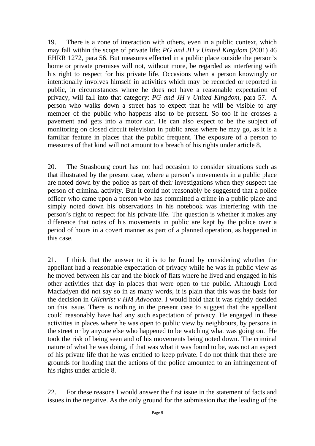19. There is a zone of interaction with others, even in a public context, which may fall within the scope of private life: *PG and JH v United Kingdom* (2001) 46 EHRR 1272, para 56. But measures effected in a public place outside the person's home or private premises will not, without more, be regarded as interfering with his right to respect for his private life. Occasions when a person knowingly or intentionally involves himself in activities which may be recorded or reported in public, in circumstances where he does not have a reasonable expectation of privacy, will fall into that category: *PG and JH v United Kingdom*, para 57. A person who walks down a street has to expect that he will be visible to any member of the public who happens also to be present. So too if he crosses a pavement and gets into a motor car. He can also expect to be the subject of monitoring on closed circuit television in public areas where he may go, as it is a familiar feature in places that the public frequent. The exposure of a person to measures of that kind will not amount to a breach of his rights under article 8.

20. The Strasbourg court has not had occasion to consider situations such as that illustrated by the present case, where a person's movements in a public place are noted down by the police as part of their investigations when they suspect the person of criminal activity. But it could not reasonably be suggested that a police officer who came upon a person who has committed a crime in a public place and simply noted down his observations in his notebook was interfering with the person's right to respect for his private life. The question is whether it makes any difference that notes of his movements in public are kept by the police over a period of hours in a covert manner as part of a planned operation, as happened in this case.

21. I think that the answer to it is to be found by considering whether the appellant had a reasonable expectation of privacy while he was in public view as he moved between his car and the block of flats where he lived and engaged in his other activities that day in places that were open to the public. Although Lord Macfadyen did not say so in as many words, it is plain that this was the basis for the decision in *Gilchrist v HM Advocate*. I would hold that it was rightly decided on this issue. There is nothing in the present case to suggest that the appellant could reasonably have had any such expectation of privacy. He engaged in these activities in places where he was open to public view by neighbours, by persons in the street or by anyone else who happened to be watching what was going on. He took the risk of being seen and of his movements being noted down. The criminal nature of what he was doing, if that was what it was found to be, was not an aspect of his private life that he was entitled to keep private. I do not think that there are grounds for holding that the actions of the police amounted to an infringement of his rights under article 8.

22. For these reasons I would answer the first issue in the statement of facts and issues in the negative. As the only ground for the submission that the leading of the